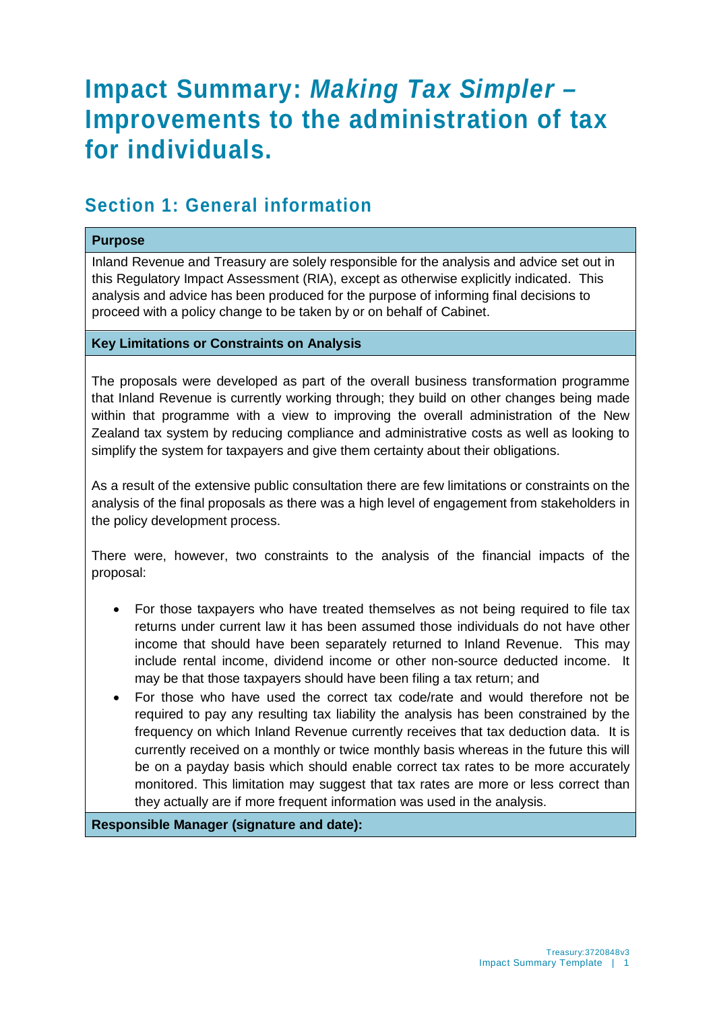# **Impact Summary:** *Making Tax Simpler –* **Improvements to the administration of tax for individuals.**

### **Section 1: General information**

#### **Purpose**

Inland Revenue and Treasury are solely responsible for the analysis and advice set out in this Regulatory Impact Assessment (RIA), except as otherwise explicitly indicated. This analysis and advice has been produced for the purpose of informing final decisions to proceed with a policy change to be taken by or on behalf of Cabinet.

#### **Key Limitations or Constraints on Analysis**

The proposals were developed as part of the overall business transformation programme that Inland Revenue is currently working through; they build on other changes being made within that programme with a view to improving the overall administration of the New Zealand tax system by reducing compliance and administrative costs as well as looking to simplify the system for taxpayers and give them certainty about their obligations.

As a result of the extensive public consultation there are few limitations or constraints on the analysis of the final proposals as there was a high level of engagement from stakeholders in the policy development process.

There were, however, two constraints to the analysis of the financial impacts of the proposal:

- For those taxpayers who have treated themselves as not being required to file tax returns under current law it has been assumed those individuals do not have other income that should have been separately returned to Inland Revenue. This may include rental income, dividend income or other non-source deducted income. It may be that those taxpayers should have been filing a tax return; and
- For those who have used the correct tax code/rate and would therefore not be required to pay any resulting tax liability the analysis has been constrained by the frequency on which Inland Revenue currently receives that tax deduction data. It is currently received on a monthly or twice monthly basis whereas in the future this will be on a payday basis which should enable correct tax rates to be more accurately monitored. This limitation may suggest that tax rates are more or less correct than they actually are if more frequent information was used in the analysis.

**Responsible Manager (signature and date):**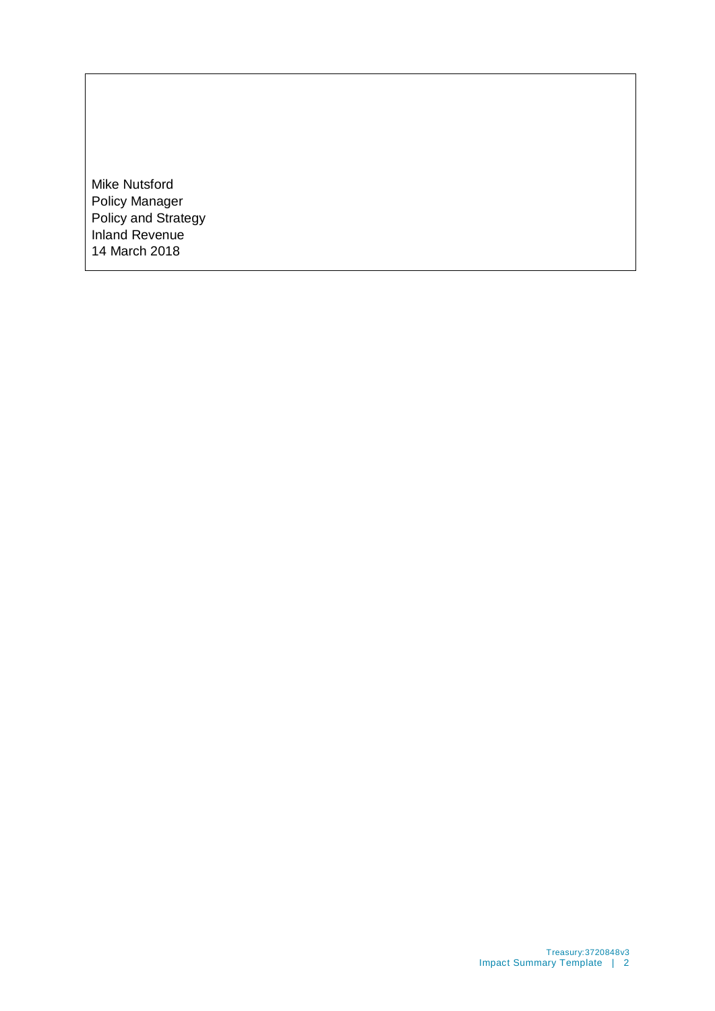Mike Nutsford Policy Manager Policy and Strategy Inland Revenue 14 March 2018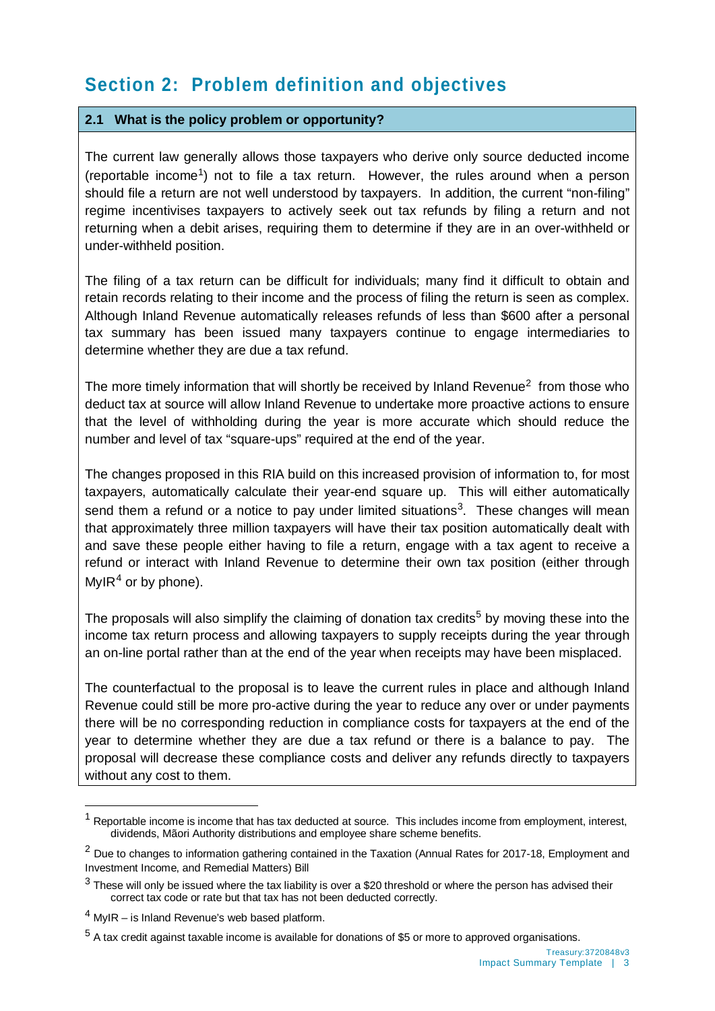# **Section 2: Problem definition and objectives**

#### **2.1 What is the policy problem or opportunity?**

The current law generally allows those taxpayers who derive only source deducted income (reportable income<sup>1</sup>) not to file a tax return. However, the rules around when a person should file a return are not well understood by taxpayers. In addition, the current "non-filing" regime incentivises taxpayers to actively seek out tax refunds by filing a return and not returning when a debit arises, requiring them to determine if they are in an over-withheld or under-withheld position.

The filing of a tax return can be difficult for individuals; many find it difficult to obtain and retain records relating to their income and the process of filing the return is seen as complex. Although Inland Revenue automatically releases refunds of less than \$600 after a personal tax summary has been issued many taxpayers continue to engage intermediaries to determine whether they are due a tax refund.

The more timely information that will shortly be received by Inland Revenue<sup>[2](#page-2-1)</sup> from those who deduct tax at source will allow Inland Revenue to undertake more proactive actions to ensure that the level of withholding during the year is more accurate which should reduce the number and level of tax "square-ups" required at the end of the year.

The changes proposed in this RIA build on this increased provision of information to, for most taxpayers, automatically calculate their year-end square up. This will either automatically send them a refund or a notice to pay under limited situations<sup>3</sup>. These changes will mean that approximately three million taxpayers will have their tax position automatically dealt with and save these people either having to file a return, engage with a tax agent to receive a refund or interact with Inland Revenue to determine their own tax position (either through MyIR<sup>[4](#page-2-3)</sup> or by phone).

The proposals will also simplify the claiming of donation tax credits<sup>[5](#page-2-4)</sup> by moving these into the income tax return process and allowing taxpayers to supply receipts during the year through an on-line portal rather than at the end of the year when receipts may have been misplaced.

The counterfactual to the proposal is to leave the current rules in place and although Inland Revenue could still be more pro-active during the year to reduce any over or under payments there will be no corresponding reduction in compliance costs for taxpayers at the end of the year to determine whether they are due a tax refund or there is a balance to pay. The proposal will decrease these compliance costs and deliver any refunds directly to taxpayers without any cost to them.

 $\overline{a}$ 

<span id="page-2-0"></span> $1$  Reportable income is income that has tax deducted at source. This includes income from employment, interest, dividends, Mãori Authority distributions and employee share scheme benefits.

<span id="page-2-1"></span><sup>&</sup>lt;sup>2</sup> Due to changes to information gathering contained in the Taxation (Annual Rates for 2017-18, Employment and Investment Income, and Remedial Matters) Bill

<span id="page-2-2"></span> $3$  These will only be issued where the tax liability is over a \$20 threshold or where the person has advised their correct tax code or rate but that tax has not been deducted correctly.

<span id="page-2-3"></span> $<sup>4</sup>$  MvIR – is Inland Revenue's web based platform.</sup>

<span id="page-2-4"></span> $5$  A tax credit against taxable income is available for donations of \$5 or more to approved organisations.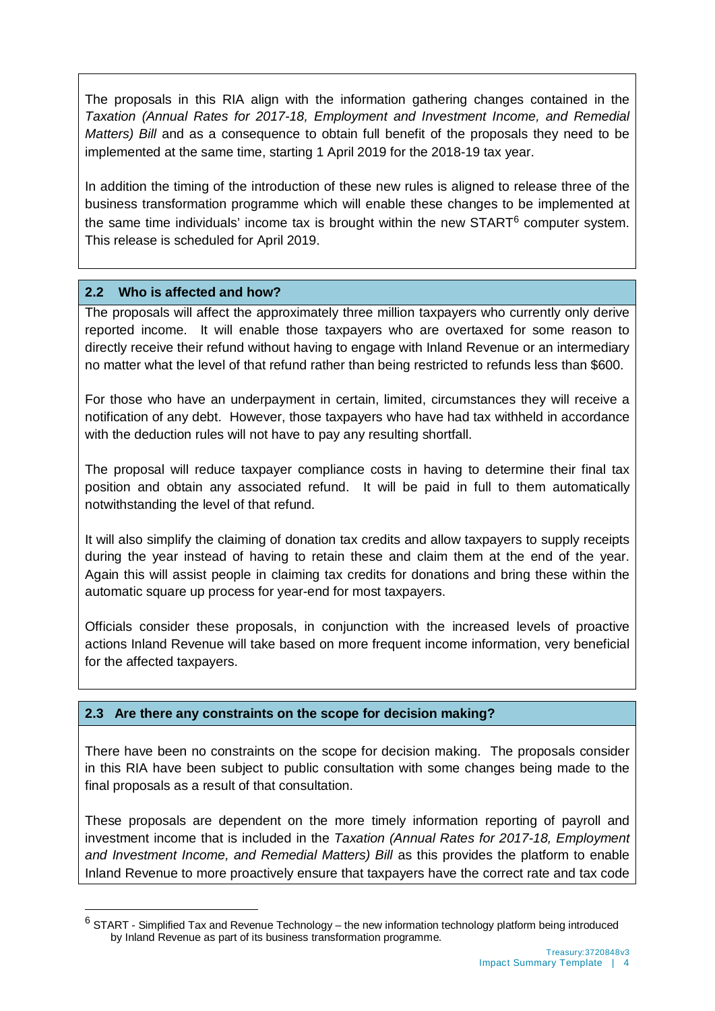The proposals in this RIA align with the information gathering changes contained in the *Taxation (Annual Rates for 2017-18, Employment and Investment Income, and Remedial Matters) Bill* and as a consequence to obtain full benefit of the proposals they need to be implemented at the same time, starting 1 April 2019 for the 2018-19 tax year.

In addition the timing of the introduction of these new rules is aligned to release three of the business transformation programme which will enable these changes to be implemented at the same time individuals' income tax is brought within the new  $\text{START}^6$  $\text{START}^6$  computer system. This release is scheduled for April 2019.

#### **2.2 Who is affected and how?**

 $\ddot{\phantom{a}}$ 

The proposals will affect the approximately three million taxpayers who currently only derive reported income. It will enable those taxpayers who are overtaxed for some reason to directly receive their refund without having to engage with Inland Revenue or an intermediary no matter what the level of that refund rather than being restricted to refunds less than \$600.

For those who have an underpayment in certain, limited, circumstances they will receive a notification of any debt. However, those taxpayers who have had tax withheld in accordance with the deduction rules will not have to pay any resulting shortfall.

The proposal will reduce taxpayer compliance costs in having to determine their final tax position and obtain any associated refund. It will be paid in full to them automatically notwithstanding the level of that refund.

It will also simplify the claiming of donation tax credits and allow taxpayers to supply receipts during the year instead of having to retain these and claim them at the end of the year. Again this will assist people in claiming tax credits for donations and bring these within the automatic square up process for year-end for most taxpayers.

Officials consider these proposals, in conjunction with the increased levels of proactive actions Inland Revenue will take based on more frequent income information, very beneficial for the affected taxpayers.

#### **2.3 Are there any constraints on the scope for decision making?**

There have been no constraints on the scope for decision making. The proposals consider in this RIA have been subject to public consultation with some changes being made to the final proposals as a result of that consultation.

These proposals are dependent on the more timely information reporting of payroll and investment income that is included in the *Taxation (Annual Rates for 2017-18, Employment*  and Investment Income, and Remedial Matters) Bill as this provides the platform to enable Inland Revenue to more proactively ensure that taxpayers have the correct rate and tax code

<span id="page-3-0"></span> $6$  START - Simplified Tax and Revenue Technology – the new information technology platform being introduced by Inland Revenue as part of its business transformation programme.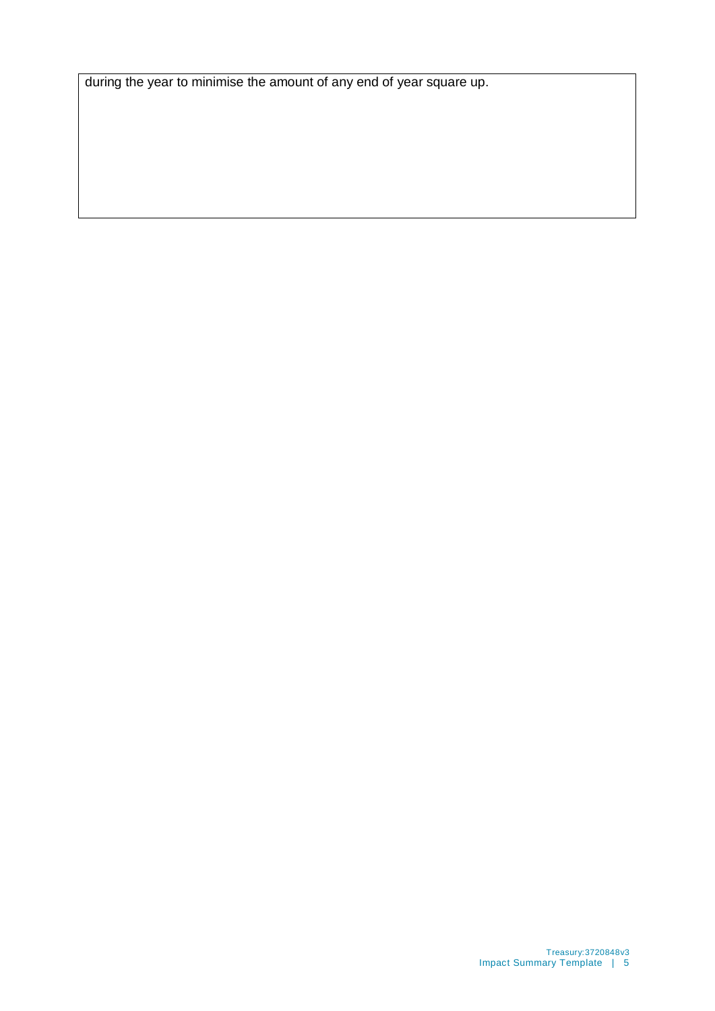during the year to minimise the amount of any end of year square up.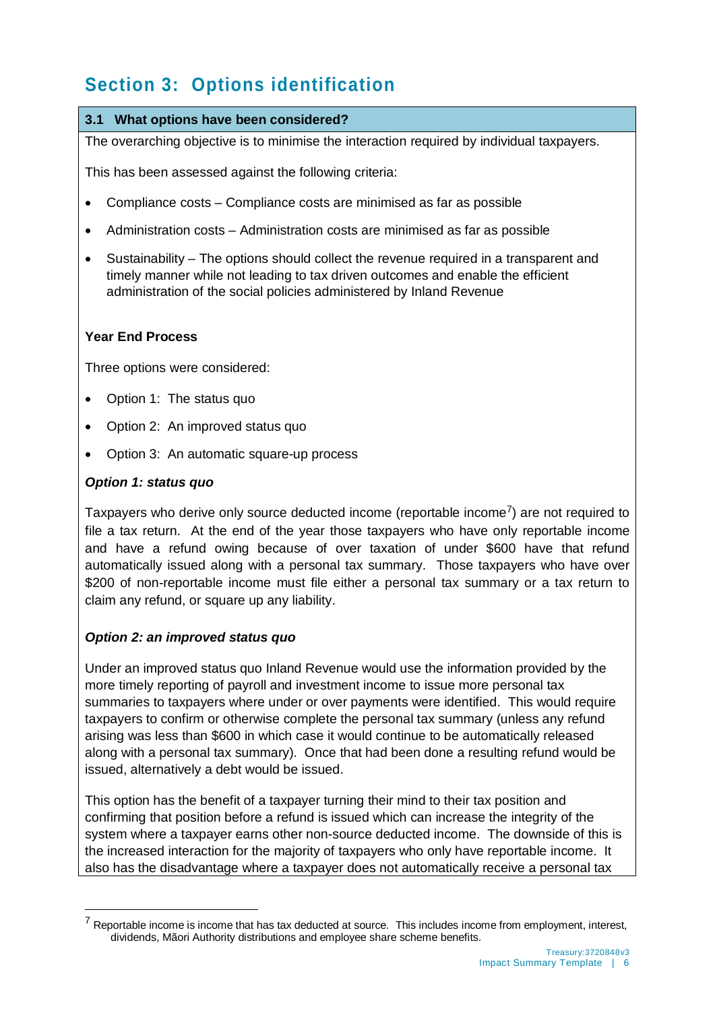# **Section 3: Options identification**

#### **3.1 What options have been considered?**

The overarching objective is to minimise the interaction required by individual taxpayers.

This has been assessed against the following criteria:

- Compliance costs Compliance costs are minimised as far as possible
- Administration costs Administration costs are minimised as far as possible
- Sustainability The options should collect the revenue required in a transparent and timely manner while not leading to tax driven outcomes and enable the efficient administration of the social policies administered by Inland Revenue

#### **Year End Process**

Three options were considered:

- Option 1: The status quo
- Option 2: An improved status quo
- Option 3: An automatic square-up process

#### *Option 1: status quo*

 $\ddot{\phantom{a}}$ 

Taxpayers who derive only source deducted income (reportable income<sup>7</sup>) are not required to file a tax return. At the end of the year those taxpayers who have only reportable income and have a refund owing because of over taxation of under \$600 have that refund automatically issued along with a personal tax summary. Those taxpayers who have over \$200 of non-reportable income must file either a personal tax summary or a tax return to claim any refund, or square up any liability.

#### *Option 2: an improved status quo*

Under an improved status quo Inland Revenue would use the information provided by the more timely reporting of payroll and investment income to issue more personal tax summaries to taxpayers where under or over payments were identified. This would require taxpayers to confirm or otherwise complete the personal tax summary (unless any refund arising was less than \$600 in which case it would continue to be automatically released along with a personal tax summary). Once that had been done a resulting refund would be issued, alternatively a debt would be issued.

This option has the benefit of a taxpayer turning their mind to their tax position and confirming that position before a refund is issued which can increase the integrity of the system where a taxpayer earns other non-source deducted income. The downside of this is the increased interaction for the majority of taxpayers who only have reportable income. It also has the disadvantage where a taxpayer does not automatically receive a personal tax

<span id="page-5-0"></span> $7$  Reportable income is income that has tax deducted at source. This includes income from employment, interest, dividends, Mãori Authority distributions and employee share scheme benefits.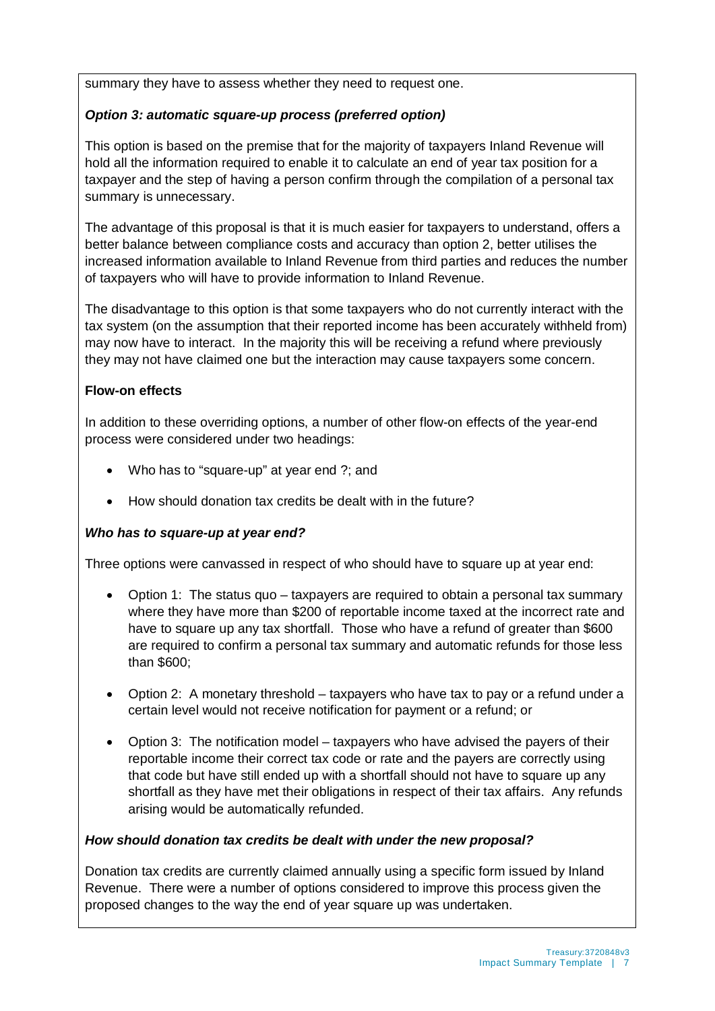summary they have to assess whether they need to request one.

#### *Option 3: automatic square-up process (preferred option)*

This option is based on the premise that for the majority of taxpayers Inland Revenue will hold all the information required to enable it to calculate an end of year tax position for a taxpayer and the step of having a person confirm through the compilation of a personal tax summary is unnecessary.

The advantage of this proposal is that it is much easier for taxpayers to understand, offers a better balance between compliance costs and accuracy than option 2, better utilises the increased information available to Inland Revenue from third parties and reduces the number of taxpayers who will have to provide information to Inland Revenue.

The disadvantage to this option is that some taxpayers who do not currently interact with the tax system (on the assumption that their reported income has been accurately withheld from) may now have to interact. In the majority this will be receiving a refund where previously they may not have claimed one but the interaction may cause taxpayers some concern.

#### **Flow-on effects**

In addition to these overriding options, a number of other flow-on effects of the year-end process were considered under two headings:

- Who has to "square-up" at year end ?; and
- How should donation tax credits be dealt with in the future?

#### *Who has to square-up at year end?*

Three options were canvassed in respect of who should have to square up at year end:

- Option 1: The status quo taxpayers are required to obtain a personal tax summary where they have more than \$200 of reportable income taxed at the incorrect rate and have to square up any tax shortfall. Those who have a refund of greater than \$600 are required to confirm a personal tax summary and automatic refunds for those less than \$600;
- Option 2: A monetary threshold taxpayers who have tax to pay or a refund under a certain level would not receive notification for payment or a refund; or
- Option 3: The notification model taxpayers who have advised the payers of their reportable income their correct tax code or rate and the payers are correctly using that code but have still ended up with a shortfall should not have to square up any shortfall as they have met their obligations in respect of their tax affairs. Any refunds arising would be automatically refunded.

#### *How should donation tax credits be dealt with under the new proposal?*

Donation tax credits are currently claimed annually using a specific form issued by Inland Revenue. There were a number of options considered to improve this process given the proposed changes to the way the end of year square up was undertaken.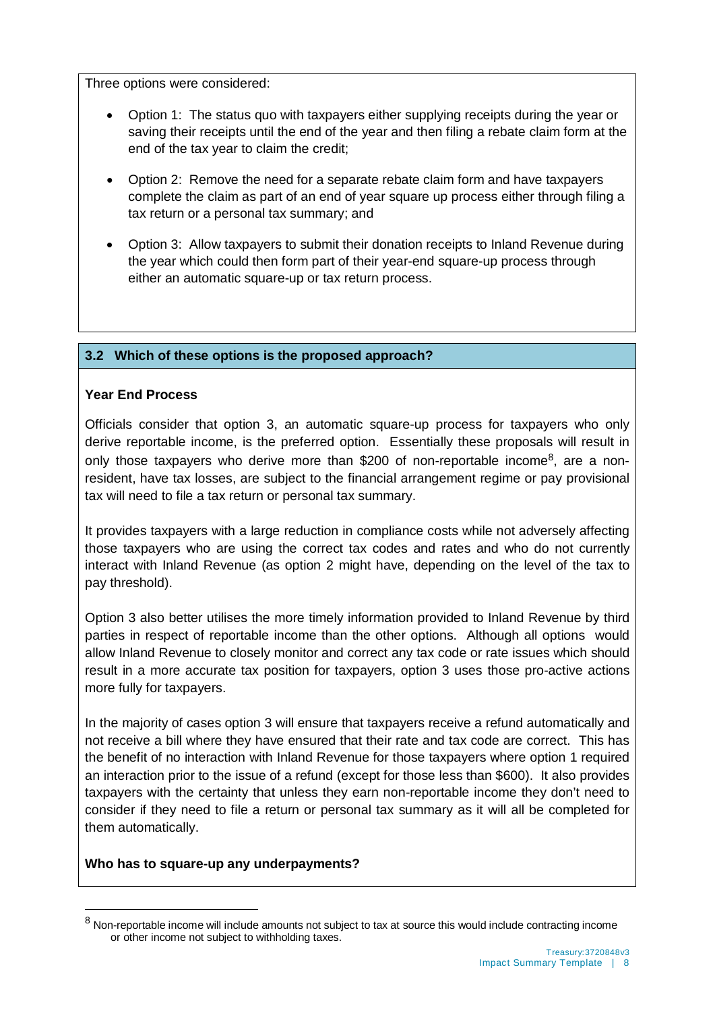Three options were considered:

- Option 1: The status quo with taxpayers either supplying receipts during the year or saving their receipts until the end of the year and then filing a rebate claim form at the end of the tax year to claim the credit;
- Option 2: Remove the need for a separate rebate claim form and have taxpayers complete the claim as part of an end of year square up process either through filing a tax return or a personal tax summary; and
- Option 3: Allow taxpayers to submit their donation receipts to Inland Revenue during the year which could then form part of their year-end square-up process through either an automatic square-up or tax return process.

#### **3.2 Which of these options is the proposed approach?**

#### **Year End Process**

Officials consider that option 3, an automatic square-up process for taxpayers who only derive reportable income, is the preferred option. Essentially these proposals will result in only those taxpayers who derive more than \$200 of non-reportable income<sup>[8](#page-7-0)</sup>, are a nonresident, have tax losses, are subject to the financial arrangement regime or pay provisional tax will need to file a tax return or personal tax summary.

It provides taxpayers with a large reduction in compliance costs while not adversely affecting those taxpayers who are using the correct tax codes and rates and who do not currently interact with Inland Revenue (as option 2 might have, depending on the level of the tax to pay threshold).

Option 3 also better utilises the more timely information provided to Inland Revenue by third parties in respect of reportable income than the other options. Although all options would allow Inland Revenue to closely monitor and correct any tax code or rate issues which should result in a more accurate tax position for taxpayers, option 3 uses those pro-active actions more fully for taxpayers.

In the majority of cases option 3 will ensure that taxpayers receive a refund automatically and not receive a bill where they have ensured that their rate and tax code are correct. This has the benefit of no interaction with Inland Revenue for those taxpayers where option 1 required an interaction prior to the issue of a refund (except for those less than \$600). It also provides taxpayers with the certainty that unless they earn non-reportable income they don't need to consider if they need to file a return or personal tax summary as it will all be completed for them automatically.

#### **Who has to square-up any underpayments?**

 $\ddot{\phantom{a}}$ 

<span id="page-7-0"></span><sup>8</sup> Non-reportable income will include amounts not subject to tax at source this would include contracting income or other income not subject to withholding taxes.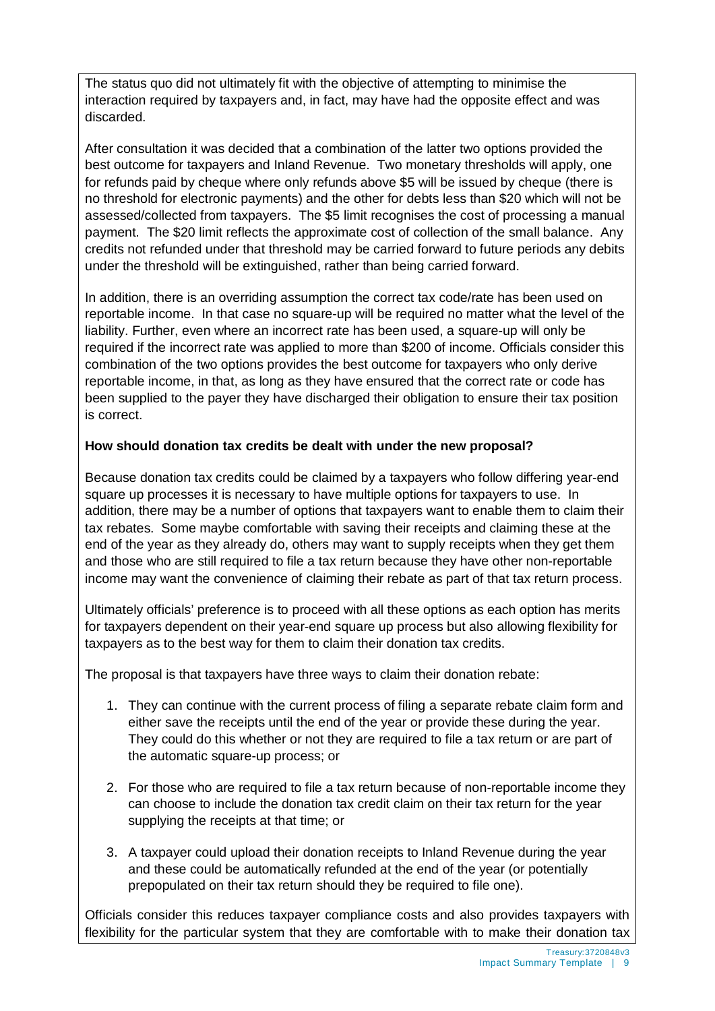The status quo did not ultimately fit with the objective of attempting to minimise the interaction required by taxpayers and, in fact, may have had the opposite effect and was discarded.

After consultation it was decided that a combination of the latter two options provided the best outcome for taxpayers and Inland Revenue. Two monetary thresholds will apply, one for refunds paid by cheque where only refunds above \$5 will be issued by cheque (there is no threshold for electronic payments) and the other for debts less than \$20 which will not be assessed/collected from taxpayers. The \$5 limit recognises the cost of processing a manual payment. The \$20 limit reflects the approximate cost of collection of the small balance. Any credits not refunded under that threshold may be carried forward to future periods any debits under the threshold will be extinguished, rather than being carried forward.

In addition, there is an overriding assumption the correct tax code/rate has been used on reportable income. In that case no square-up will be required no matter what the level of the liability. Further, even where an incorrect rate has been used, a square-up will only be required if the incorrect rate was applied to more than \$200 of income. Officials consider this combination of the two options provides the best outcome for taxpayers who only derive reportable income, in that, as long as they have ensured that the correct rate or code has been supplied to the payer they have discharged their obligation to ensure their tax position is correct.

#### **How should donation tax credits be dealt with under the new proposal?**

Because donation tax credits could be claimed by a taxpayers who follow differing year-end square up processes it is necessary to have multiple options for taxpayers to use. In addition, there may be a number of options that taxpayers want to enable them to claim their tax rebates. Some maybe comfortable with saving their receipts and claiming these at the end of the year as they already do, others may want to supply receipts when they get them and those who are still required to file a tax return because they have other non-reportable income may want the convenience of claiming their rebate as part of that tax return process.

Ultimately officials' preference is to proceed with all these options as each option has merits for taxpayers dependent on their year-end square up process but also allowing flexibility for taxpayers as to the best way for them to claim their donation tax credits.

The proposal is that taxpayers have three ways to claim their donation rebate:

- 1. They can continue with the current process of filing a separate rebate claim form and either save the receipts until the end of the year or provide these during the year. They could do this whether or not they are required to file a tax return or are part of the automatic square-up process; or
- 2. For those who are required to file a tax return because of non-reportable income they can choose to include the donation tax credit claim on their tax return for the year supplying the receipts at that time; or
- 3. A taxpayer could upload their donation receipts to Inland Revenue during the year and these could be automatically refunded at the end of the year (or potentially prepopulated on their tax return should they be required to file one).

Officials consider this reduces taxpayer compliance costs and also provides taxpayers with flexibility for the particular system that they are comfortable with to make their donation tax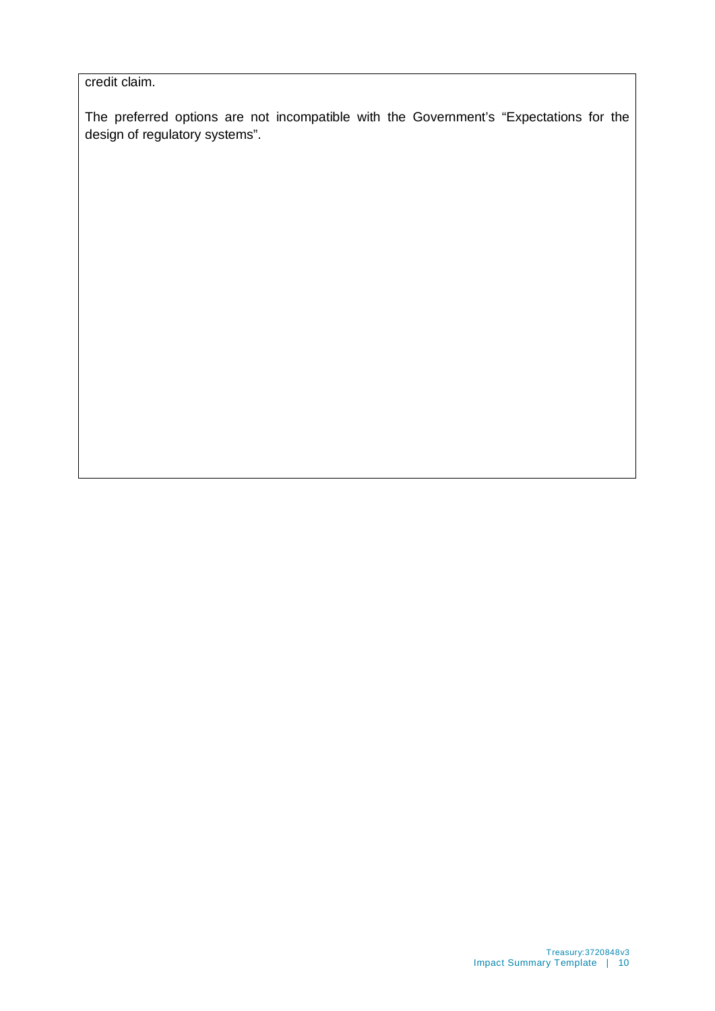credit claim.

The preferred options are not incompatible with the Government's "Expectations for the design of regulatory systems".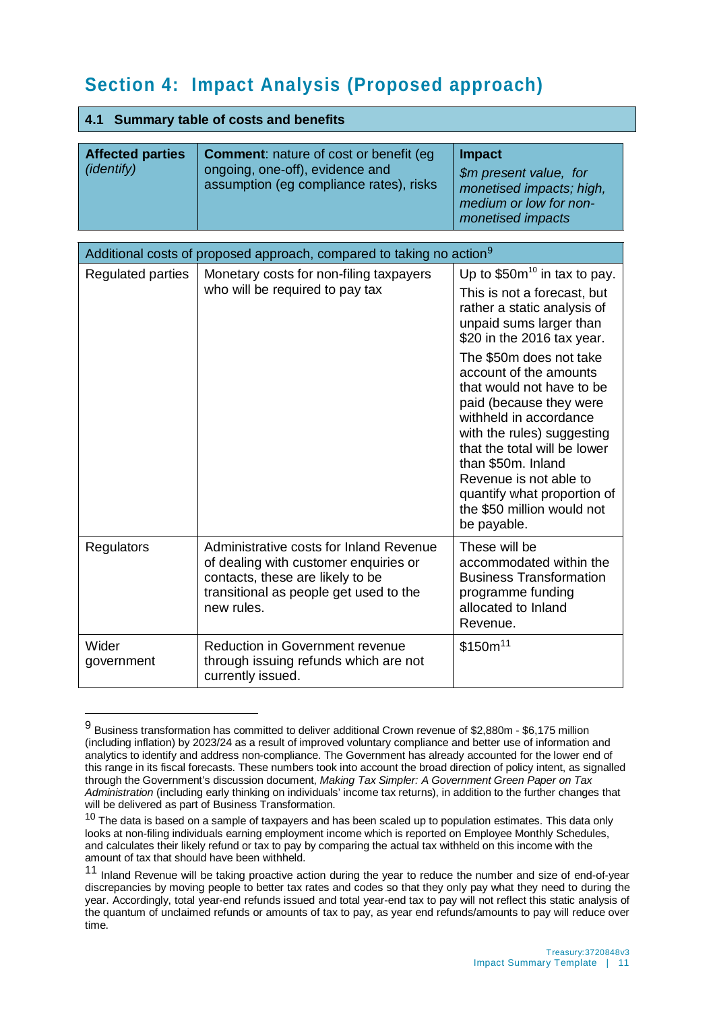# **Section 4: Impact Analysis (Proposed approach)**

#### **4.1 Summary table of costs and benefits**

 $\overline{a}$ 

| <b>Affected parties</b><br><i>(identify)</i> | <b>Comment:</b> nature of cost or benefit (eg)<br>ongoing, one-off), evidence and<br>assumption (eg compliance rates), risks | <b>Impact</b><br>\$m present value, for<br>monetised impacts; high,<br>medium or low for non-<br>monetised impacts |
|----------------------------------------------|------------------------------------------------------------------------------------------------------------------------------|--------------------------------------------------------------------------------------------------------------------|
|----------------------------------------------|------------------------------------------------------------------------------------------------------------------------------|--------------------------------------------------------------------------------------------------------------------|

| Additional costs of proposed approach, compared to taking no action <sup>9</sup> |                                                                                                                                                                              |                                                                                                                                                                                                                                                                                                                                                                                                                                                                                          |  |  |
|----------------------------------------------------------------------------------|------------------------------------------------------------------------------------------------------------------------------------------------------------------------------|------------------------------------------------------------------------------------------------------------------------------------------------------------------------------------------------------------------------------------------------------------------------------------------------------------------------------------------------------------------------------------------------------------------------------------------------------------------------------------------|--|--|
| <b>Regulated parties</b>                                                         | Monetary costs for non-filing taxpayers<br>who will be required to pay tax                                                                                                   | Up to $$50m^{10}$ in tax to pay.<br>This is not a forecast, but<br>rather a static analysis of<br>unpaid sums larger than<br>\$20 in the 2016 tax year.<br>The \$50m does not take<br>account of the amounts<br>that would not have to be<br>paid (because they were<br>withheld in accordance<br>with the rules) suggesting<br>that the total will be lower<br>than \$50m. Inland<br>Revenue is not able to<br>quantify what proportion of<br>the \$50 million would not<br>be payable. |  |  |
| <b>Regulators</b>                                                                | Administrative costs for Inland Revenue<br>of dealing with customer enquiries or<br>contacts, these are likely to be<br>transitional as people get used to the<br>new rules. | These will be<br>accommodated within the<br><b>Business Transformation</b><br>programme funding<br>allocated to Inland<br>Revenue.                                                                                                                                                                                                                                                                                                                                                       |  |  |
| Wider<br>government                                                              | <b>Reduction in Government revenue</b><br>through issuing refunds which are not<br>currently issued.                                                                         | \$150m <sup>11</sup>                                                                                                                                                                                                                                                                                                                                                                                                                                                                     |  |  |

<span id="page-10-0"></span><sup>9</sup> Business transformation has committed to deliver additional Crown revenue of \$2,880m - \$6,175 million (including inflation) by 2023/24 as a result of improved voluntary compliance and better use of information and analytics to identify and address non-compliance. The Government has already accounted for the lower end of this range in its fiscal forecasts. These numbers took into account the broad direction of policy intent, as signalled through the Government's discussion document, *Making Tax Simpler: A Government Green Paper on Tax Administration* (including early thinking on individuals' income tax returns), in addition to the further changes that will be delivered as part of Business Transformation.

<span id="page-10-1"></span><sup>10</sup> The data is based on a sample of taxpayers and has been scaled up to population estimates. This data only looks at non-filing individuals earning employment income which is reported on Employee Monthly Schedules, and calculates their likely refund or tax to pay by comparing the actual tax withheld on this income with the amount of tax that should have been withheld.

<span id="page-10-2"></span><sup>11</sup> Inland Revenue will be taking proactive action during the year to reduce the number and size of end-of-year discrepancies by moving people to better tax rates and codes so that they only pay what they need to during the year. Accordingly, total year-end refunds issued and total year-end tax to pay will not reflect this static analysis of the quantum of unclaimed refunds or amounts of tax to pay, as year end refunds/amounts to pay will reduce over time.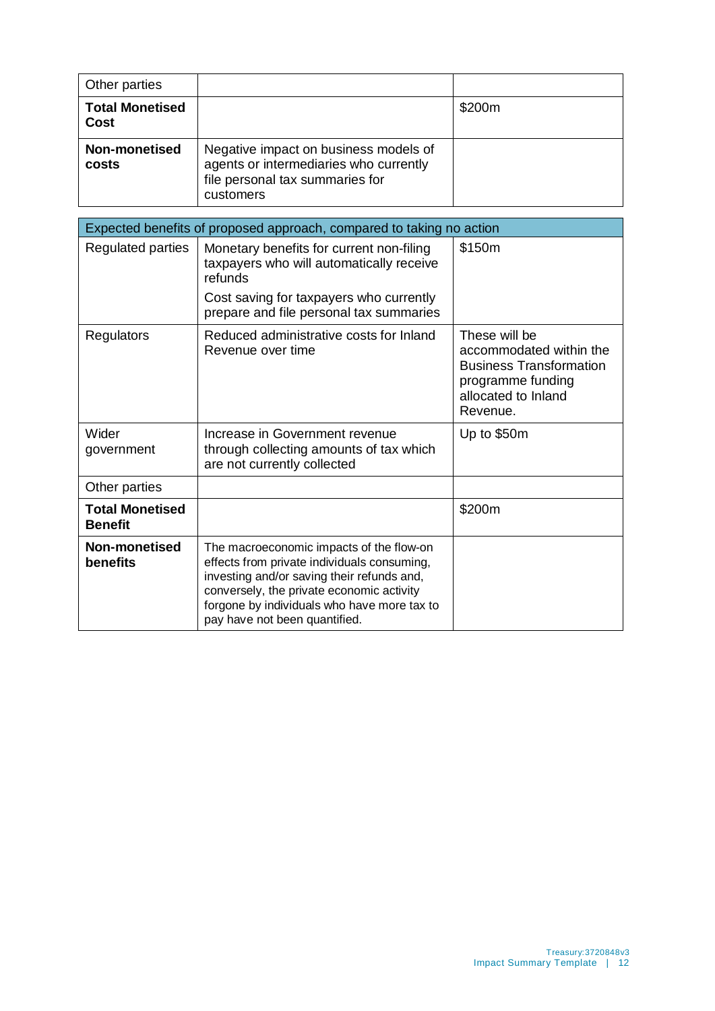| Other parties                         |                                                                                                                                 |        |
|---------------------------------------|---------------------------------------------------------------------------------------------------------------------------------|--------|
| <b>Total Monetised</b><br><b>Cost</b> |                                                                                                                                 | \$200m |
| Non-monetised<br>costs                | Negative impact on business models of<br>agents or intermediaries who currently<br>file personal tax summaries for<br>customers |        |

| Expected benefits of proposed approach, compared to taking no action |                                                                                                                                                                                                                                                                    |                                                                                                                                    |  |  |
|----------------------------------------------------------------------|--------------------------------------------------------------------------------------------------------------------------------------------------------------------------------------------------------------------------------------------------------------------|------------------------------------------------------------------------------------------------------------------------------------|--|--|
| Regulated parties                                                    | Monetary benefits for current non-filing<br>taxpayers who will automatically receive<br>refunds                                                                                                                                                                    | \$150m                                                                                                                             |  |  |
|                                                                      | Cost saving for taxpayers who currently<br>prepare and file personal tax summaries                                                                                                                                                                                 |                                                                                                                                    |  |  |
| <b>Regulators</b>                                                    | Reduced administrative costs for Inland<br>Revenue over time                                                                                                                                                                                                       | These will be<br>accommodated within the<br><b>Business Transformation</b><br>programme funding<br>allocated to Inland<br>Revenue. |  |  |
| Wider<br>government                                                  | Increase in Government revenue<br>through collecting amounts of tax which<br>are not currently collected                                                                                                                                                           | Up to \$50m                                                                                                                        |  |  |
| Other parties                                                        |                                                                                                                                                                                                                                                                    |                                                                                                                                    |  |  |
| <b>Total Monetised</b><br><b>Benefit</b>                             |                                                                                                                                                                                                                                                                    | \$200m                                                                                                                             |  |  |
| Non-monetised<br>benefits                                            | The macroeconomic impacts of the flow-on<br>effects from private individuals consuming,<br>investing and/or saving their refunds and,<br>conversely, the private economic activity<br>forgone by individuals who have more tax to<br>pay have not been quantified. |                                                                                                                                    |  |  |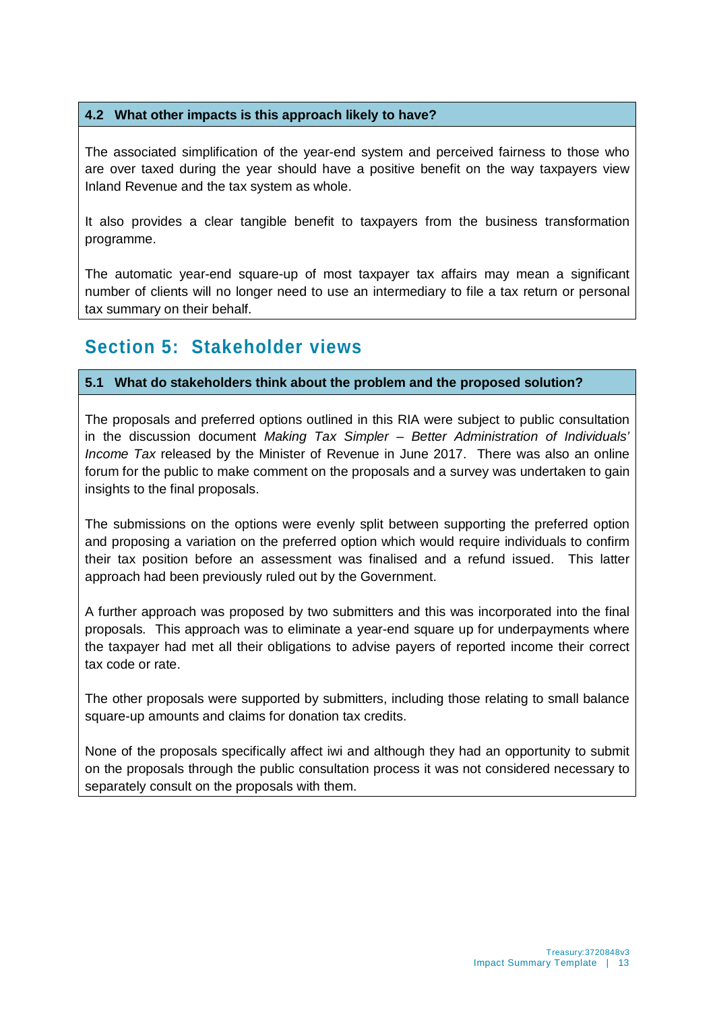#### **4.2 What other impacts is this approach likely to have?**

The associated simplification of the year-end system and perceived fairness to those who are over taxed during the year should have a positive benefit on the way taxpayers view Inland Revenue and the tax system as whole.

It also provides a clear tangible benefit to taxpayers from the business transformation programme.

The automatic year-end square-up of most taxpayer tax affairs may mean a significant number of clients will no longer need to use an intermediary to file a tax return or personal tax summary on their behalf.

### **Section 5: Stakeholder views**

#### **5.1 What do stakeholders think about the problem and the proposed solution?**

The proposals and preferred options outlined in this RIA were subject to public consultation in the discussion document *Making Tax Simpler – Better Administration of Individuals' Income Tax* released by the Minister of Revenue in June 2017. There was also an online forum for the public to make comment on the proposals and a survey was undertaken to gain insights to the final proposals.

The submissions on the options were evenly split between supporting the preferred option and proposing a variation on the preferred option which would require individuals to confirm their tax position before an assessment was finalised and a refund issued. This latter approach had been previously ruled out by the Government.

A further approach was proposed by two submitters and this was incorporated into the final proposals. This approach was to eliminate a year-end square up for underpayments where the taxpayer had met all their obligations to advise payers of reported income their correct tax code or rate.

The other proposals were supported by submitters, including those relating to small balance square-up amounts and claims for donation tax credits.

None of the proposals specifically affect iwi and although they had an opportunity to submit on the proposals through the public consultation process it was not considered necessary to separately consult on the proposals with them.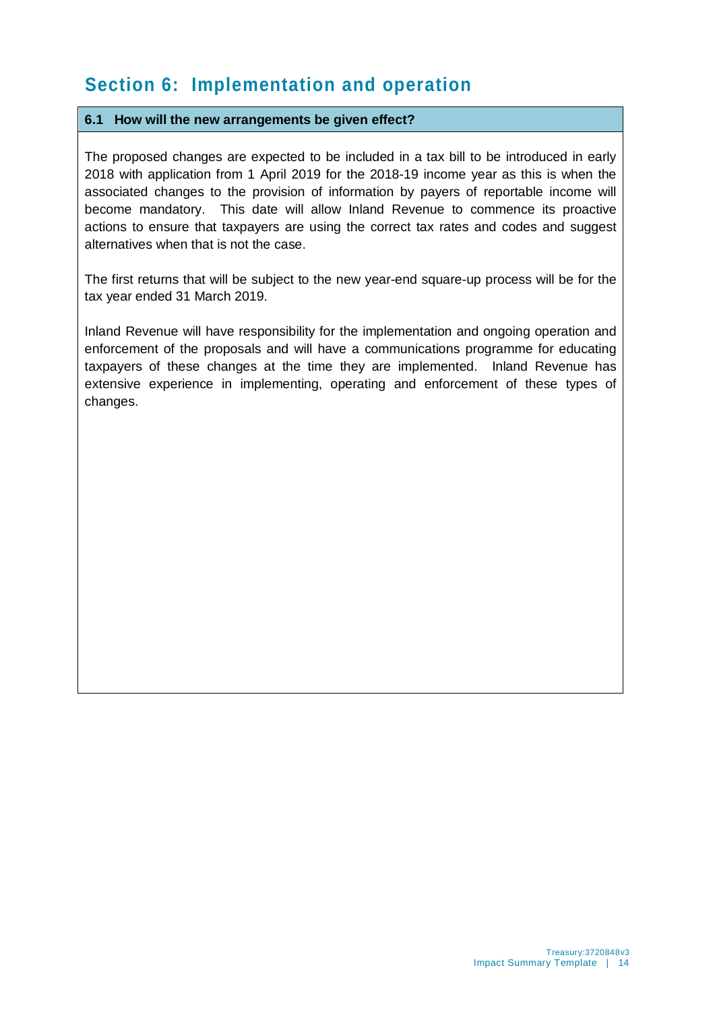# **Section 6: Implementation and operation**

#### **6.1 How will the new arrangements be given effect?**

The proposed changes are expected to be included in a tax bill to be introduced in early 2018 with application from 1 April 2019 for the 2018-19 income year as this is when the associated changes to the provision of information by payers of reportable income will become mandatory. This date will allow Inland Revenue to commence its proactive actions to ensure that taxpayers are using the correct tax rates and codes and suggest alternatives when that is not the case.

The first returns that will be subject to the new year-end square-up process will be for the tax year ended 31 March 2019.

Inland Revenue will have responsibility for the implementation and ongoing operation and enforcement of the proposals and will have a communications programme for educating taxpayers of these changes at the time they are implemented. Inland Revenue has extensive experience in implementing, operating and enforcement of these types of changes.